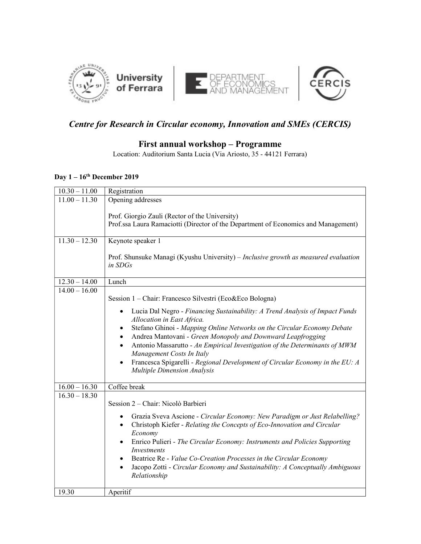

## Centre for Research in Circular economy, Innovation and SMEs (CERCIS)

#### First annual workshop – Programme

Location: Auditorium Santa Lucia (Via Ariosto, 35 - 44121 Ferrara)

### Day  $1 - 16^{th}$  December 2019

| $10.30 - 11.00$ | Registration                                                                                                                                                                                                                                                                                                                                                                                                                                                                                                                                    |
|-----------------|-------------------------------------------------------------------------------------------------------------------------------------------------------------------------------------------------------------------------------------------------------------------------------------------------------------------------------------------------------------------------------------------------------------------------------------------------------------------------------------------------------------------------------------------------|
| $11.00 - 11.30$ | Opening addresses                                                                                                                                                                                                                                                                                                                                                                                                                                                                                                                               |
| $11.30 - 12.30$ | Prof. Giorgio Zauli (Rector of the University)<br>Prof.ssa Laura Ramaciotti (Director of the Department of Economics and Management)<br>Keynote speaker 1<br>Prof. Shunsuke Managi (Kyushu University) – Inclusive growth as measured evaluation<br>in SDGs                                                                                                                                                                                                                                                                                     |
| $12.30 - 14.00$ | Lunch                                                                                                                                                                                                                                                                                                                                                                                                                                                                                                                                           |
| $14.00 - 16.00$ | Session 1 – Chair: Francesco Silvestri (Eco&Eco Bologna)                                                                                                                                                                                                                                                                                                                                                                                                                                                                                        |
|                 | Lucia Dal Negro - Financing Sustainability: A Trend Analysis of Impact Funds<br>$\bullet$<br>Allocation in East Africa.<br>Stefano Ghinoi - Mapping Online Networks on the Circular Economy Debate<br>$\bullet$<br>Andrea Mantovani - Green Monopoly and Downward Leapfrogging<br>$\bullet$<br>Antonio Massarutto - An Empirical Investigation of the Determinants of MWM<br>$\bullet$<br>Management Costs In Italy<br>Francesca Spigarelli - Regional Development of Circular Economy in the EU: A<br>$\bullet$<br>Multiple Dimension Analysis |
| $16.00 - 16.30$ | Coffee break                                                                                                                                                                                                                                                                                                                                                                                                                                                                                                                                    |
| $16.30 - 18.30$ | Session 2 – Chair: Nicolò Barbieri<br>Grazia Sveva Ascione - Circular Economy: New Paradigm or Just Relabelling?<br>$\bullet$<br>Christoph Kiefer - Relating the Concepts of Eco-Innovation and Circular<br>$\bullet$<br>Economy<br>Enrico Pulieri - The Circular Economy: Instruments and Policies Supporting<br>$\bullet$<br>Investments<br>Beatrice Re - Value Co-Creation Processes in the Circular Economy<br>$\bullet$<br>Jacopo Zotti - Circular Economy and Sustainability: A Conceptually Ambiguous<br>Relationship                    |
| 19.30           | Aperitif                                                                                                                                                                                                                                                                                                                                                                                                                                                                                                                                        |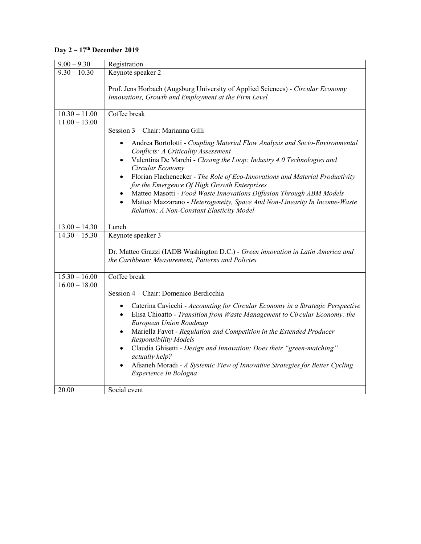# Day 2 – 17<sup>th</sup> December 2019

| $9.00 - 9.30$   | Registration                                                                                                                                                                                                                                                                                                                                                                                                                                                                                                                      |
|-----------------|-----------------------------------------------------------------------------------------------------------------------------------------------------------------------------------------------------------------------------------------------------------------------------------------------------------------------------------------------------------------------------------------------------------------------------------------------------------------------------------------------------------------------------------|
| $9.30 - 10.30$  | Keynote speaker 2                                                                                                                                                                                                                                                                                                                                                                                                                                                                                                                 |
|                 | Prof. Jens Horbach (Augsburg University of Applied Sciences) - Circular Economy<br>Innovations, Growth and Employment at the Firm Level                                                                                                                                                                                                                                                                                                                                                                                           |
| $10.30 - 11.00$ | Coffee break                                                                                                                                                                                                                                                                                                                                                                                                                                                                                                                      |
| $11.00 - 13.00$ |                                                                                                                                                                                                                                                                                                                                                                                                                                                                                                                                   |
|                 | Session 3 - Chair: Marianna Gilli                                                                                                                                                                                                                                                                                                                                                                                                                                                                                                 |
|                 | Andrea Bortolotti - Coupling Material Flow Analysis and Socio-Environmental<br>٠<br>Conflicts: A Criticality Assessment<br>Valentina De Marchi - Closing the Loop: Industry 4.0 Technologies and<br>$\bullet$<br>Circular Economy<br>Florian Flachenecker - The Role of Eco-Innovations and Material Productivity<br>$\bullet$                                                                                                                                                                                                    |
|                 | for the Emergence Of High Growth Enterprises<br>Matteo Masotti - Food Waste Innovations Diffusion Through ABM Models<br>٠<br>Matteo Mazzarano - Heterogeneity, Space And Non-Linearity In Income-Waste<br>$\bullet$<br>Relation: A Non-Constant Elasticity Model                                                                                                                                                                                                                                                                  |
| $13.00 - 14.30$ | Lunch                                                                                                                                                                                                                                                                                                                                                                                                                                                                                                                             |
| $14.30 - 15.30$ | Keynote speaker 3                                                                                                                                                                                                                                                                                                                                                                                                                                                                                                                 |
|                 | Dr. Matteo Grazzi (IADB Washington D.C.) - Green innovation in Latin America and<br>the Caribbean: Measurement, Patterns and Policies                                                                                                                                                                                                                                                                                                                                                                                             |
| $15.30 - 16.00$ | Coffee break                                                                                                                                                                                                                                                                                                                                                                                                                                                                                                                      |
| $16.00 - 18.00$ | Session 4 – Chair: Domenico Berdicchia                                                                                                                                                                                                                                                                                                                                                                                                                                                                                            |
|                 | Caterina Cavicchi - Accounting for Circular Economy in a Strategic Perspective<br>$\bullet$<br>Elisa Chioatto - Transition from Waste Management to Circular Economy: the<br>٠<br>European Union Roadmap<br>Mariella Favot - Regulation and Competition in the Extended Producer<br><b>Responsibility Models</b><br>Claudia Ghisetti - Design and Innovation: Does their "green-matching"<br>$\bullet$<br>actually help?<br>Afsaneh Moradi - A Systemic View of Innovative Strategies for Better Cycling<br>Experience In Bologna |
| 20.00           | Social event                                                                                                                                                                                                                                                                                                                                                                                                                                                                                                                      |